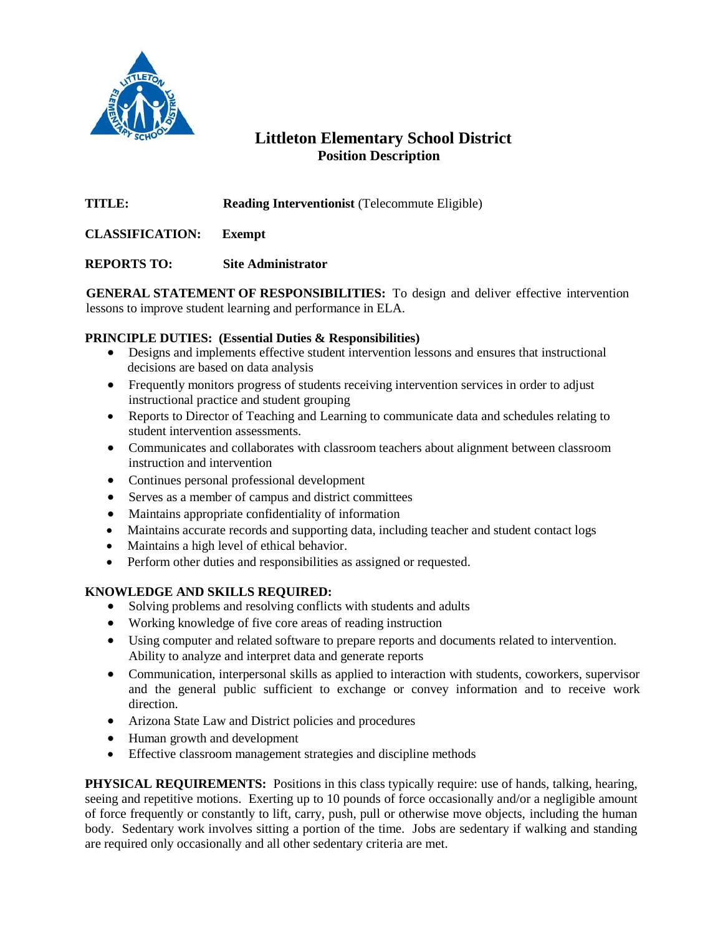

## **Littleton Elementary School District Position Description**

**TITLE: Reading Interventionist** (Telecommute Eligible)

**CLASSIFICATION: Exempt**

**REPORTS TO: Site Administrator**

**GENERAL STATEMENT OF RESPONSIBILITIES:** To design and deliver effective intervention lessons to improve student learning and performance in ELA.

## **PRINCIPLE DUTIES: (Essential Duties & Responsibilities)**

- Designs and implements effective student intervention lessons and ensures that instructional decisions are based on data analysis
- Frequently monitors progress of students receiving intervention services in order to adjust instructional practice and student grouping
- Reports to Director of Teaching and Learning to communicate data and schedules relating to student intervention assessments.
- Communicates and collaborates with classroom teachers about alignment between classroom instruction and intervention
- Continues personal professional development
- Serves as a member of campus and district committees
- Maintains appropriate confidentiality of information
- Maintains accurate records and supporting data, including teacher and student contact logs
- Maintains a high level of ethical behavior.
- Perform other duties and responsibilities as assigned or requested.

## **KNOWLEDGE AND SKILLS REQUIRED:**

- Solving problems and resolving conflicts with students and adults
- Working knowledge of five core areas of reading instruction
- Using computer and related software to prepare reports and documents related to intervention. Ability to analyze and interpret data and generate reports
- Communication, interpersonal skills as applied to interaction with students, coworkers, supervisor and the general public sufficient to exchange or convey information and to receive work direction.
- Arizona State Law and District policies and procedures
- Human growth and development
- Effective classroom management strategies and discipline methods

**PHYSICAL REQUIREMENTS:** Positions in this class typically require: use of hands, talking, hearing, seeing and repetitive motions. Exerting up to 10 pounds of force occasionally and/or a negligible amount of force frequently or constantly to lift, carry, push, pull or otherwise move objects, including the human body. Sedentary work involves sitting a portion of the time. Jobs are sedentary if walking and standing are required only occasionally and all other sedentary criteria are met.